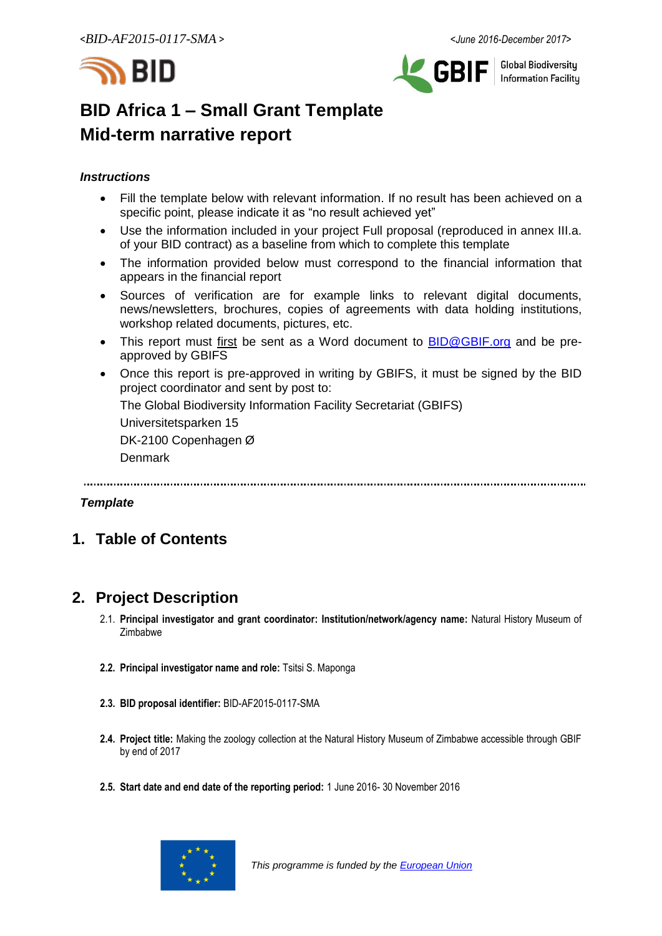



**Global Biodiversity Information Facilitu** 

# **BID Africa 1 – Small Grant Template Mid-term narrative report**

# *Instructions*

- Fill the template below with relevant information. If no result has been achieved on a specific point, please indicate it as "no result achieved yet"
- Use the information included in your project Full proposal (reproduced in annex III.a. of your BID contract) as a baseline from which to complete this template
- The information provided below must correspond to the financial information that appears in the financial report
- Sources of verification are for example links to relevant digital documents, news/newsletters, brochures, copies of agreements with data holding institutions, workshop related documents, pictures, etc.
- This report must first be sent as a Word document to **BID@GBIF.org** and be preapproved by GBIFS
- Once this report is pre-approved in writing by GBIFS, it must be signed by the BID project coordinator and sent by post to:

The Global Biodiversity Information Facility Secretariat (GBIFS)

Universitetsparken 15

DK-2100 Copenhagen Ø

Denmark

# *Template*

# **1. Table of Contents**

# **2. Project Description**

- 2.1. **Principal investigator and grant coordinator: Institution/network/agency name:** Natural History Museum of Zimbabwe
- **2.2. Principal investigator name and role:** Tsitsi S. Maponga
- **2.3. BID proposal identifier:** BID-AF2015-0117-SMA
- **2.4. Project title:** Making the zoology collection at the Natural History Museum of Zimbabwe accessible through GBIF by end of 2017
- **2.5. Start date and end date of the reporting period:** 1 June 2016- 30 November 2016

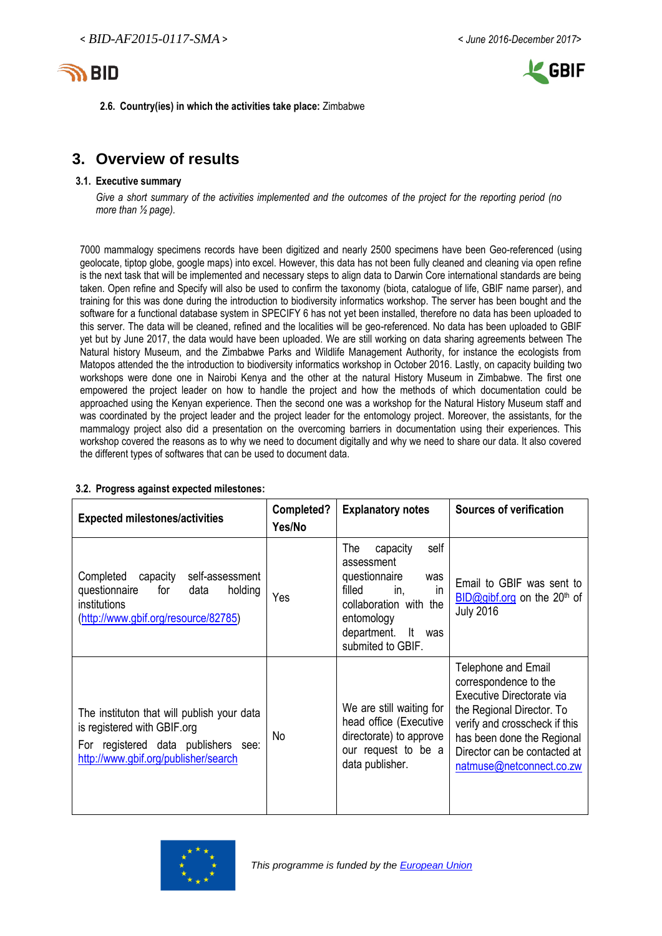



**2.6. Country(ies) in which the activities take place:** Zimbabwe

# **3. Overview of results**

#### **3.1. Executive summary**

*Give a short summary of the activities implemented and the outcomes of the project for the reporting period (no more than ½ page).*

7000 mammalogy specimens records have been digitized and nearly 2500 specimens have been Geo-referenced (using geolocate, tiptop globe, google maps) into excel. However, this data has not been fully cleaned and cleaning via open refine is the next task that will be implemented and necessary steps to align data to Darwin Core international standards are being taken. Open refine and Specify will also be used to confirm the taxonomy (biota, catalogue of life, GBIF name parser), and training for this was done during the introduction to biodiversity informatics workshop. The server has been bought and the software for a functional database system in SPECIFY 6 has not yet been installed, therefore no data has been uploaded to this server. The data will be cleaned, refined and the localities will be geo-referenced. No data has been uploaded to GBIF yet but by June 2017, the data would have been uploaded. We are still working on data sharing agreements between The Natural history Museum, and the Zimbabwe Parks and Wildlife Management Authority, for instance the ecologists from Matopos attended the the introduction to biodiversity informatics workshop in October 2016. Lastly, on capacity building two workshops were done one in Nairobi Kenya and the other at the natural History Museum in Zimbabwe. The first one empowered the project leader on how to handle the project and how the methods of which documentation could be approached using the Kenyan experience. Then the second one was a workshop for the Natural History Museum staff and was coordinated by the project leader and the project leader for the entomology project. Moreover, the assistants, for the mammalogy project also did a presentation on the overcoming barriers in documentation using their experiences. This workshop covered the reasons as to why we need to document digitally and why we need to share our data. It also covered the different types of softwares that can be used to document data.

| <b>Expected milestones/activities</b>                                                                                                                    | Completed?<br>Yes/No | <b>Explanatory notes</b>                                                                                                                                                              | <b>Sources of verification</b>                                                                                                                                                                                                    |
|----------------------------------------------------------------------------------------------------------------------------------------------------------|----------------------|---------------------------------------------------------------------------------------------------------------------------------------------------------------------------------------|-----------------------------------------------------------------------------------------------------------------------------------------------------------------------------------------------------------------------------------|
| Completed capacity<br>self-assessment<br>questionnaire<br>for<br>holding<br>data<br>institutions<br>(http://www.gbif.org/resource/82785)                 | Yes                  | The<br>capacity<br>self<br>assessment<br>questionnaire<br>was<br>filled<br>in.<br><sub>in</sub><br>collaboration with the<br>entomology<br>department. It<br>was<br>submited to GBIF. | Email to GBIF was sent to<br>$BID@qibf.org$ on the 20 <sup>th</sup> of<br><b>July 2016</b>                                                                                                                                        |
| The instituton that will publish your data<br>is registered with GBIF.org<br>For registered data publishers see:<br>http://www.gbif.org/publisher/search | No                   | We are still waiting for<br>head office (Executive<br>directorate) to approve<br>our request to be a<br>data publisher.                                                               | Telephone and Email<br>correspondence to the<br>Executive Directorate via<br>the Regional Director. To<br>verify and crosscheck if this<br>has been done the Regional<br>Director can be contacted at<br>natmuse@netconnect.co.zw |

# **3.2. Progress against expected milestones:**

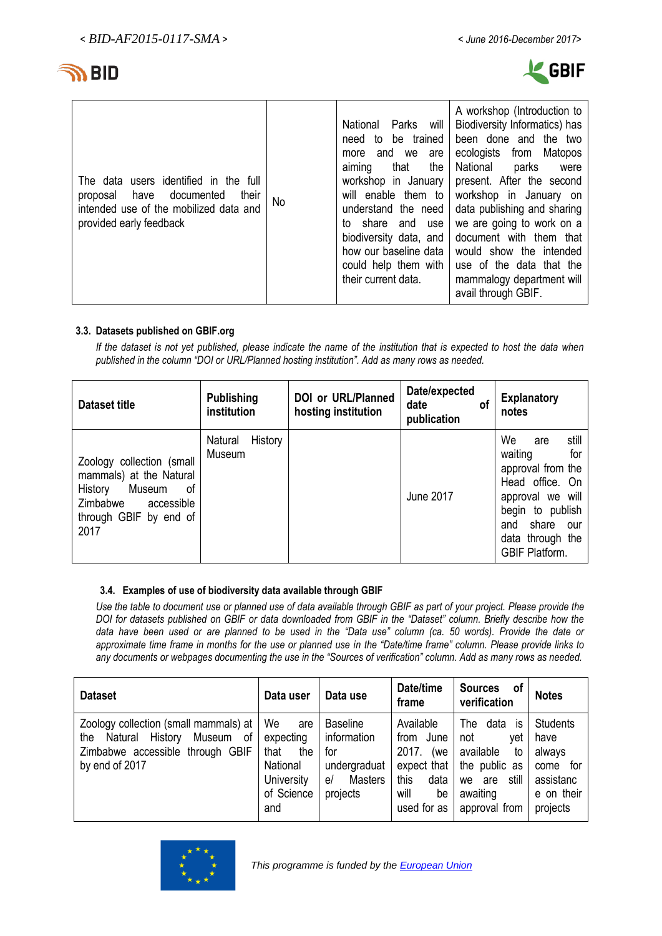

| The data users identified in the full<br>their<br>documented<br>have<br>proposal<br>intended use of the mobilized data and<br>provided early feedback | No | National<br>Parks<br>will<br>be trained<br>to<br>need<br>and we<br>are<br>more<br>the<br>that<br>aiming<br>workshop in January<br>will enable them to<br>understand the need<br>to share and<br>use<br>biodiversity data, and<br>how our baseline data<br>could help them with<br>their current data. | A workshop (Introduction to<br>Biodiversity Informatics) has<br>been done and the two<br>from<br>ecologists<br>Matopos<br>National<br>parks<br>were<br>present. After the second<br>workshop in January on<br>data publishing and sharing<br>we are going to work on a<br>document with them that<br>would show the intended<br>use of the data that the<br>mammalogy department will<br>avail through GBIF. |
|-------------------------------------------------------------------------------------------------------------------------------------------------------|----|-------------------------------------------------------------------------------------------------------------------------------------------------------------------------------------------------------------------------------------------------------------------------------------------------------|--------------------------------------------------------------------------------------------------------------------------------------------------------------------------------------------------------------------------------------------------------------------------------------------------------------------------------------------------------------------------------------------------------------|
|-------------------------------------------------------------------------------------------------------------------------------------------------------|----|-------------------------------------------------------------------------------------------------------------------------------------------------------------------------------------------------------------------------------------------------------------------------------------------------------|--------------------------------------------------------------------------------------------------------------------------------------------------------------------------------------------------------------------------------------------------------------------------------------------------------------------------------------------------------------------------------------------------------------|

# **3.3. Datasets published on GBIF.org**

*If the dataset is not yet published, please indicate the name of the institution that is expected to host the data when published in the column "DOI or URL/Planned hosting institution". Add as many rows as needed.*

| <b>Dataset title</b>                                                                                                                     | <b>Publishing</b><br>institution | DOI or URL/Planned<br>hosting institution | Date/expected<br>date<br>οf<br>publication | <b>Explanatory</b><br>notes                                                                                                                                                              |
|------------------------------------------------------------------------------------------------------------------------------------------|----------------------------------|-------------------------------------------|--------------------------------------------|------------------------------------------------------------------------------------------------------------------------------------------------------------------------------------------|
| Zoology collection (small<br>mammals) at the Natural<br>History<br>Museum<br>0f<br>Zimbabwe accessible<br>through GBIF by end of<br>2017 | History<br>Natural<br>Museum     |                                           | <b>June 2017</b>                           | We<br>still<br>are<br>for<br>waiting<br>approval from the<br>Head office. On<br>approval we will<br>begin to publish<br>share<br>and<br>our<br>data through the<br><b>GBIF Platform.</b> |

# **3.4. Examples of use of biodiversity data available through GBIF**

*Use the table to document use or planned use of data available through GBIF as part of your project. Please provide the DOI for datasets published on GBIF or data downloaded from GBIF in the "Dataset" column. Briefly describe how the data have been used or are planned to be used in the "Data use" column (ca. 50 words). Provide the date or approximate time frame in months for the use or planned use in the "Date/time frame" column. Please provide links to any documents or webpages documenting the use in the "Sources of verification" column. Add as many rows as needed.*

| <b>Dataset</b>                                                                                                                     | Data user                                                                            | Data use                                                                                  | Date/time<br>frame                                                                                 | <b>Sources</b><br>0f<br>verification                                                                                   | <b>Notes</b>                                                                            |
|------------------------------------------------------------------------------------------------------------------------------------|--------------------------------------------------------------------------------------|-------------------------------------------------------------------------------------------|----------------------------------------------------------------------------------------------------|------------------------------------------------------------------------------------------------------------------------|-----------------------------------------------------------------------------------------|
| Zoology collection (small mammals) at<br>Natural History<br>Museum of<br>the<br>Zimbabwe accessible through GBIF<br>by end of 2017 | We<br>are<br>expecting<br>that<br>the<br>National<br>University<br>of Science<br>and | <b>Baseline</b><br>information<br>for<br>undergraduat<br><b>Masters</b><br>el<br>projects | Available<br>from June<br>2017.<br>(we<br>expect that<br>this<br>data<br>will<br>be<br>used for as | data<br>The<br>IS<br>not<br>vet<br>available<br>to<br>the public as<br>still<br>are<br>we<br>awaiting<br>approval from | <b>Students</b><br>have<br>always<br>for<br>come<br>assistanc<br>e on their<br>projects |

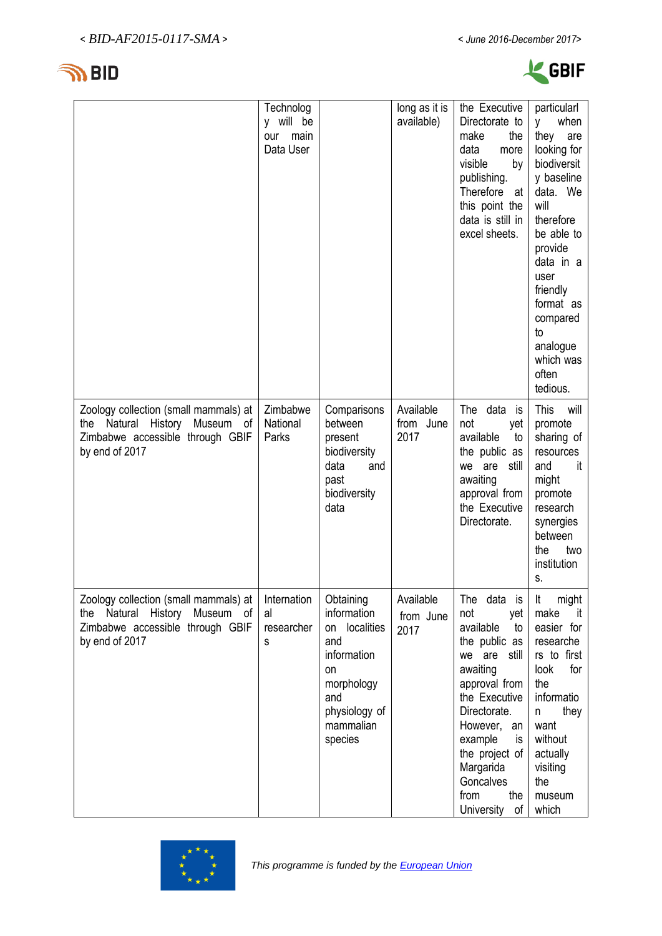



| <b>GBIF</b> |
|-------------|
|-------------|

|                                                                                                                                 | Technolog<br>y will be<br>main<br>our<br>Data User |                                                                                                                                        | long as it is<br>available)    | the Executive<br>Directorate to<br>make<br>the<br>data<br>more<br>visible<br>by<br>publishing.<br>Therefore<br>at<br>this point the<br>data is still in<br>excel sheets.                                                                                          | particularl<br>when<br>y -<br>they<br>are<br>looking for<br>biodiversit<br>y baseline<br>data. We<br>will<br>therefore<br>be able to<br>provide<br>data in a<br>user<br>friendly<br>format as<br>compared<br>to<br>analogue<br>which was<br>often<br>tedious. |
|---------------------------------------------------------------------------------------------------------------------------------|----------------------------------------------------|----------------------------------------------------------------------------------------------------------------------------------------|--------------------------------|-------------------------------------------------------------------------------------------------------------------------------------------------------------------------------------------------------------------------------------------------------------------|---------------------------------------------------------------------------------------------------------------------------------------------------------------------------------------------------------------------------------------------------------------|
| Zoology collection (small mammals) at<br>the Natural History<br>Museum of<br>Zimbabwe accessible through GBIF<br>by end of 2017 | Zimbabwe<br>National<br>Parks                      | Comparisons<br>between<br>present<br>biodiversity<br>data<br>and<br>past<br>biodiversity<br>data                                       | Available<br>from June<br>2017 | The data is<br>not<br>yet<br>available<br>to<br>the public as<br>we are<br>still<br>awaiting<br>approval from<br>the Executive<br>Directorate.                                                                                                                    | <b>This</b><br>will<br>promote<br>sharing of<br>resources<br>and<br>it<br>might<br>promote<br>research<br>synergies<br>between<br>the<br>two<br>institution<br>S.                                                                                             |
| Zoology collection (small mammals) at<br>the Natural History<br>Museum of<br>Zimbabwe accessible through GBIF<br>by end of 2017 | Internation<br>al<br>researcher<br>s               | Obtaining<br>information<br>localities<br>on<br>and<br>information<br>on<br>morphology<br>and<br>physiology of<br>mammalian<br>species | Available<br>from June<br>2017 | The data is<br>not<br>yet<br>available<br>to<br>the public as<br>we are<br>still<br>awaiting<br>approval from<br>the Executive<br>Directorate.<br>However,<br>an<br>example<br>is.<br>the project of<br>Margarida<br>Goncalves<br>from<br>the<br>University<br>of | might<br>It<br>make<br>it<br>easier for<br>researche<br>rs to first<br>look<br>for<br>the<br>informatio<br>they<br>n<br>want<br>without<br>actually<br>visiting<br>the<br>museum<br>which                                                                     |

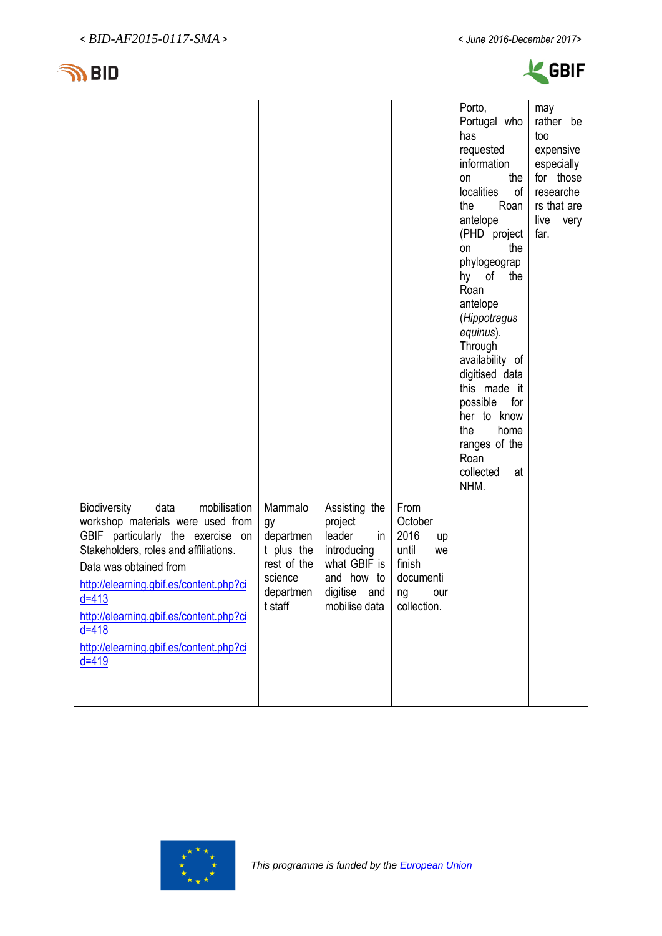



|                                                                                                                                                                                                                                                                                                                                                           |                                                                                            |                                                                                                                           |                                                                                                 | Porto,<br>Portugal who<br>has<br>requested<br>information<br>the<br>on<br>localities<br>of<br>the<br>Roan<br>antelope<br>(PHD project<br>the<br>on<br>phylogeograp<br>hy of<br>the<br>Roan<br>antelope<br>(Hippotragus<br>equinus).<br>Through<br>availability of<br>digitised data<br>this made it<br>for<br>possible<br>her to know<br>the<br>home<br>ranges of the<br>Roan<br>collected<br>at<br>NHM. | may<br>rather be<br>too<br>expensive<br>especially<br>for those<br>researche<br>rs that are<br>live<br>very<br>far. |
|-----------------------------------------------------------------------------------------------------------------------------------------------------------------------------------------------------------------------------------------------------------------------------------------------------------------------------------------------------------|--------------------------------------------------------------------------------------------|---------------------------------------------------------------------------------------------------------------------------|-------------------------------------------------------------------------------------------------|----------------------------------------------------------------------------------------------------------------------------------------------------------------------------------------------------------------------------------------------------------------------------------------------------------------------------------------------------------------------------------------------------------|---------------------------------------------------------------------------------------------------------------------|
| Biodiversity<br>data<br>mobilisation<br>workshop materials were used from<br>GBIF particularly the exercise on<br>Stakeholders, roles and affiliations.<br>Data was obtained from<br>http://elearning.gbif.es/content.php?ci<br>$d = 413$<br>http://elearning.gbif.es/content.php?ci<br>$d = 418$<br>http://elearning.gbif.es/content.php?ci<br>$d = 419$ | Mammalo<br>gy<br>departmen<br>t plus the<br>rest of the<br>science<br>departmen<br>t staff | Assisting the<br>project<br>leader<br>in<br>introducing<br>what GBIF is<br>and how to<br>digitise<br>and<br>mobilise data | From<br>October<br>2016<br>up<br>until<br>we<br>finish<br>documenti<br>na<br>our<br>collection. |                                                                                                                                                                                                                                                                                                                                                                                                          |                                                                                                                     |

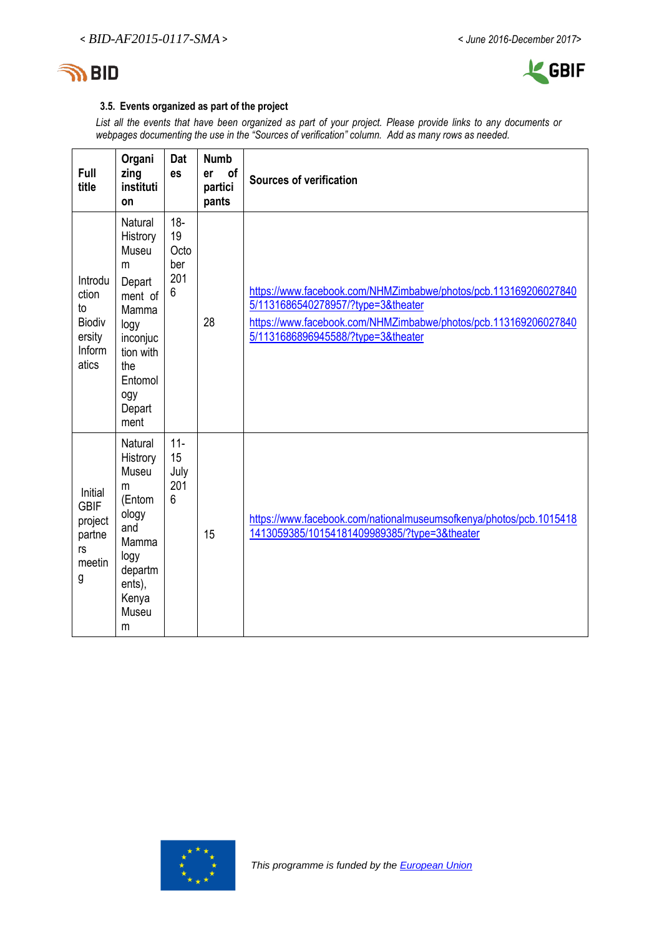



# **3.5. Events organized as part of the project**

*List all the events that have been organized as part of your project. Please provide links to any documents or webpages documenting the use in the "Sources of verification" column. Add as many rows as needed.*

| Full<br>title                                                        | Organi<br>zing<br>instituti<br>on                                                                                                                  | Dat<br><b>es</b>                              | <b>Numb</b><br>of<br>er<br>partici<br>pants | <b>Sources of verification</b>                                                                                                                                                                                 |
|----------------------------------------------------------------------|----------------------------------------------------------------------------------------------------------------------------------------------------|-----------------------------------------------|---------------------------------------------|----------------------------------------------------------------------------------------------------------------------------------------------------------------------------------------------------------------|
| Introdu<br>ction<br>to<br><b>Biodiv</b><br>ersity<br>Inform<br>atics | <b>Natural</b><br>Histrory<br>Museu<br>m<br>Depart<br>ment of<br>Mamma<br>logy<br>inconjuc<br>tion with<br>the<br>Entomol<br>ogy<br>Depart<br>ment | $18-$<br>19<br>Octo<br>ber<br>201<br>6        | 28                                          | https://www.facebook.com/NHMZimbabwe/photos/pcb.113169206027840<br>5/1131686540278957/?type=3&theater<br>https://www.facebook.com/NHMZimbabwe/photos/pcb.113169206027840<br>5/1131686896945588/?type=3&theater |
| Initial<br><b>GBIF</b><br>project<br>partne<br>rs<br>meetin<br>g     | <b>Natural</b><br>Histrory<br>Museu<br>m<br>(Entom<br>ology<br>and<br>Mamma<br>logy<br>departm<br>ents),<br>Kenya<br>Museu<br>m                    | $11 -$<br>15<br>July<br>201<br>$6\phantom{1}$ | 15                                          | https://www.facebook.com/nationalmuseumsofkenya/photos/pcb.1015418<br>1413059385/10154181409989385/?type=3&theater                                                                                             |

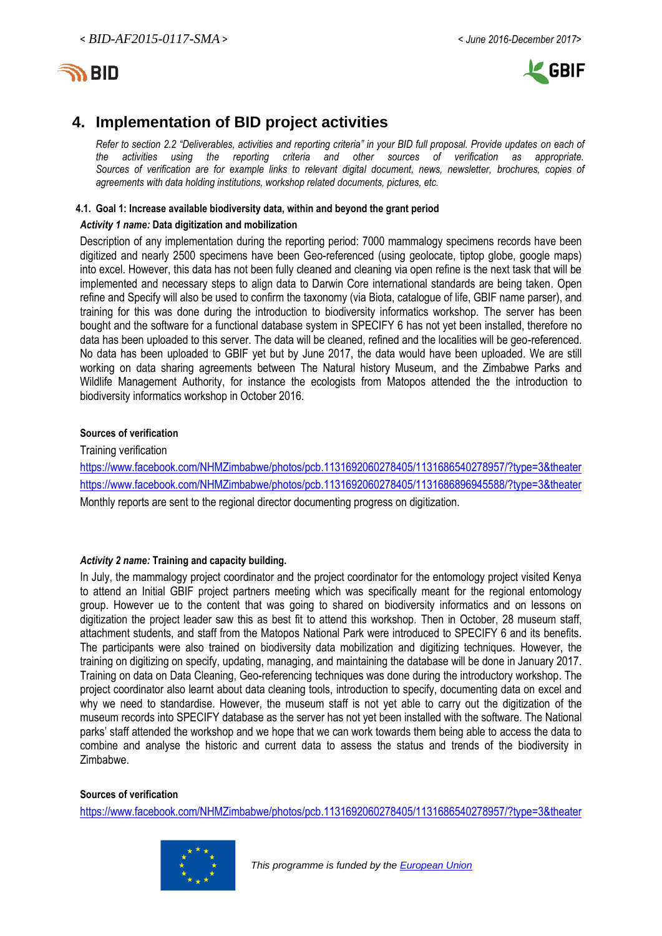



# **4. Implementation of BID project activities**

*Refer to section 2.2 "Deliverables, activities and reporting criteria" in your BID full proposal. Provide updates on each of the activities using the reporting criteria and other sources of verification as appropriate. Sources of verification are for example links to relevant digital document, news, newsletter, brochures, copies of agreements with data holding institutions, workshop related documents, pictures, etc.*

### **4.1. Goal 1: Increase available biodiversity data, within and beyond the grant period**

#### *Activity 1 name:* **Data digitization and mobilization**

Description of any implementation during the reporting period: 7000 mammalogy specimens records have been digitized and nearly 2500 specimens have been Geo-referenced (using geolocate, tiptop globe, google maps) into excel. However, this data has not been fully cleaned and cleaning via open refine is the next task that will be implemented and necessary steps to align data to Darwin Core international standards are being taken. Open refine and Specify will also be used to confirm the taxonomy (via Biota, catalogue of life, GBIF name parser), and training for this was done during the introduction to biodiversity informatics workshop. The server has been bought and the software for a functional database system in SPECIFY 6 has not yet been installed, therefore no data has been uploaded to this server. The data will be cleaned, refined and the localities will be geo-referenced. No data has been uploaded to GBIF yet but by June 2017, the data would have been uploaded. We are still working on data sharing agreements between The Natural history Museum, and the Zimbabwe Parks and Wildlife Management Authority, for instance the ecologists from Matopos attended the the introduction to biodiversity informatics workshop in October 2016.

### **Sources of verification**

Training verification

<https://www.facebook.com/NHMZimbabwe/photos/pcb.1131692060278405/1131686540278957/?type=3&theater> <https://www.facebook.com/NHMZimbabwe/photos/pcb.1131692060278405/1131686896945588/?type=3&theater> Monthly reports are sent to the regional director documenting progress on digitization.

### *Activity 2 name:* **Training and capacity building.**

In July, the mammalogy project coordinator and the project coordinator for the entomology project visited Kenya to attend an Initial GBIF project partners meeting which was specifically meant for the regional entomology group. However ue to the content that was going to shared on biodiversity informatics and on lessons on digitization the project leader saw this as best fit to attend this workshop. Then in October, 28 museum staff, attachment students, and staff from the Matopos National Park were introduced to SPECIFY 6 and its benefits. The participants were also trained on biodiversity data mobilization and digitizing techniques. However, the training on digitizing on specify, updating, managing, and maintaining the database will be done in January 2017. Training on data on Data Cleaning, Geo-referencing techniques was done during the introductory workshop. The project coordinator also learnt about data cleaning tools, introduction to specify, documenting data on excel and why we need to standardise. However, the museum staff is not yet able to carry out the digitization of the museum records into SPECIFY database as the server has not yet been installed with the software. The National parks' staff attended the workshop and we hope that we can work towards them being able to access the data to combine and analyse the historic and current data to assess the status and trends of the biodiversity in Zimbabwe.

#### **Sources of verification**

<https://www.facebook.com/NHMZimbabwe/photos/pcb.1131692060278405/1131686540278957/?type=3&theater>



 *This programme is funded by th[e European Union](http://europa.eu/)*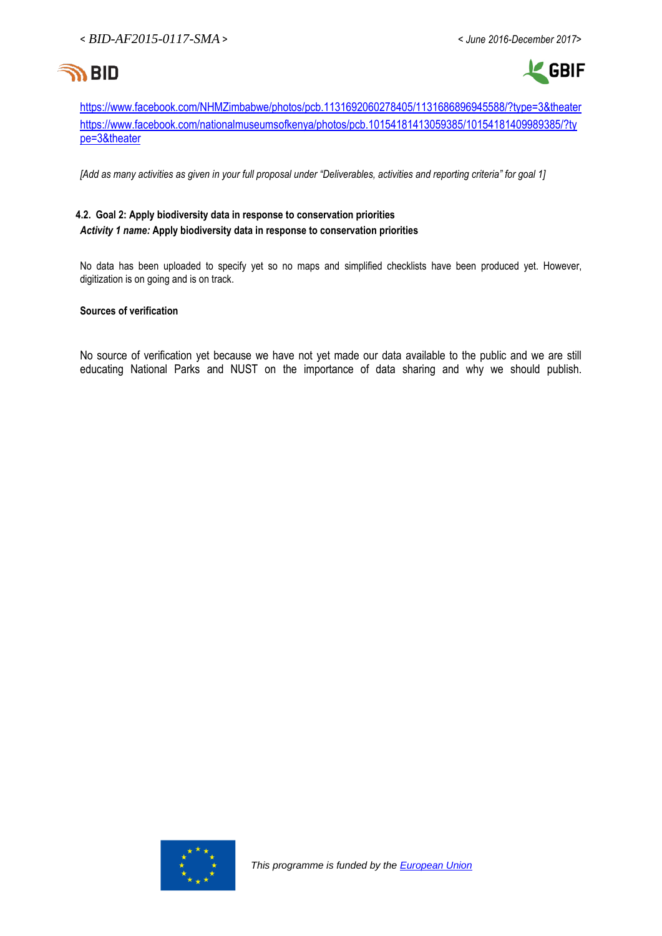

**L** GBIF

<https://www.facebook.com/NHMZimbabwe/photos/pcb.1131692060278405/1131686896945588/?type=3&theater> [https://www.facebook.com/nationalmuseumsofkenya/photos/pcb.10154181413059385/10154181409989385/?ty](https://www.facebook.com/nationalmuseumsofkenya/photos/pcb.10154181413059385/10154181409989385/?type=3&theater) [pe=3&theater](https://www.facebook.com/nationalmuseumsofkenya/photos/pcb.10154181413059385/10154181409989385/?type=3&theater)

*[Add as many activities as given in your full proposal under "Deliverables, activities and reporting criteria" for goal 1]*

# **4.2. Goal 2: Apply biodiversity data in response to conservation priorities** *Activity 1 name:* **Apply biodiversity data in response to conservation priorities**

No data has been uploaded to specify yet so no maps and simplified checklists have been produced yet. However, digitization is on going and is on track.

### **Sources of verification**

No source of verification yet because we have not yet made our data available to the public and we are still educating National Parks and NUST on the importance of data sharing and why we should publish.

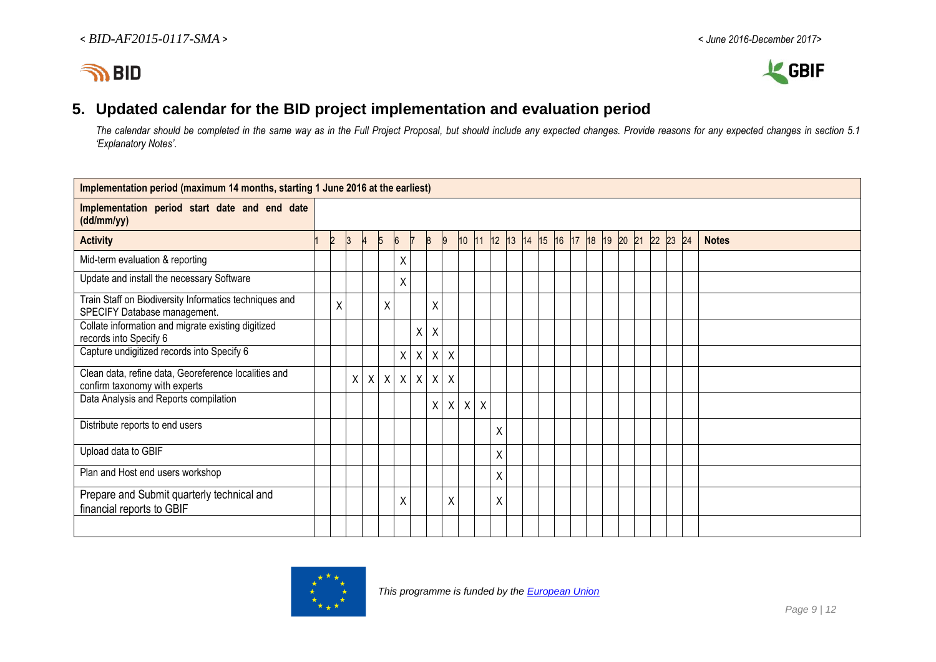



# **5. Updated calendar for the BID project implementation and evaluation period**

*The calendar should be completed in the same way as in the Full Project Proposal, but should include any expected changes. Provide reasons for any expected changes in section 5.1 'Explanatory Notes'.*

| Implementation period (maximum 14 months, starting 1 June 2016 at the earliest)        |  |                |   |  |              |                |              |                  |         |         |              |   |                               |  |  |  |  |          |              |
|----------------------------------------------------------------------------------------|--|----------------|---|--|--------------|----------------|--------------|------------------|---------|---------|--------------|---|-------------------------------|--|--|--|--|----------|--------------|
| Implementation period start date and end date<br>(dd/mm/yy)                            |  |                |   |  |              |                |              |                  |         |         |              |   |                               |  |  |  |  |          |              |
| <b>Activity</b>                                                                        |  | $\overline{2}$ |   |  | 5            | $\overline{6}$ | 17           | $\boldsymbol{8}$ | 9       | 10      | 111          |   | 12 13 14 15 16 17 18 19 20 21 |  |  |  |  | 22 23 24 | <b>Notes</b> |
| Mid-term evaluation & reporting                                                        |  |                |   |  |              | Χ              |              |                  |         |         |              |   |                               |  |  |  |  |          |              |
| Update and install the necessary Software                                              |  |                |   |  |              | Χ              |              |                  |         |         |              |   |                               |  |  |  |  |          |              |
| Train Staff on Biodiversity Informatics techniques and<br>SPECIFY Database management. |  | X              |   |  | $\mathsf{X}$ |                |              | X                |         |         |              |   |                               |  |  |  |  |          |              |
| Collate information and migrate existing digitized<br>records into Specify 6           |  |                |   |  |              |                | Χ            | Χ                |         |         |              |   |                               |  |  |  |  |          |              |
| Capture undigitized records into Specify 6                                             |  |                |   |  |              | Χ              | χ            | Χ                | X       |         |              |   |                               |  |  |  |  |          |              |
| Clean data, refine data, Georeference localities and<br>confirm taxonomy with experts  |  |                | X |  |              | $X$ $X$ $X$    | $\mathsf{X}$ | $\mathsf{X}$     | $\sf X$ |         |              |   |                               |  |  |  |  |          |              |
| Data Analysis and Reports compilation                                                  |  |                |   |  |              |                |              | $\mathsf{X}$     |         | $X$ $X$ | $\mathsf{X}$ |   |                               |  |  |  |  |          |              |
| Distribute reports to end users                                                        |  |                |   |  |              |                |              |                  |         |         |              | Χ |                               |  |  |  |  |          |              |
| Upload data to GBIF                                                                    |  |                |   |  |              |                |              |                  |         |         |              | X |                               |  |  |  |  |          |              |
| Plan and Host end users workshop                                                       |  |                |   |  |              |                |              |                  |         |         |              | Χ |                               |  |  |  |  |          |              |
| Prepare and Submit quarterly technical and<br>financial reports to GBIF                |  |                |   |  |              | Χ              |              |                  | Χ       |         |              | Χ |                               |  |  |  |  |          |              |
|                                                                                        |  |                |   |  |              |                |              |                  |         |         |              |   |                               |  |  |  |  |          |              |

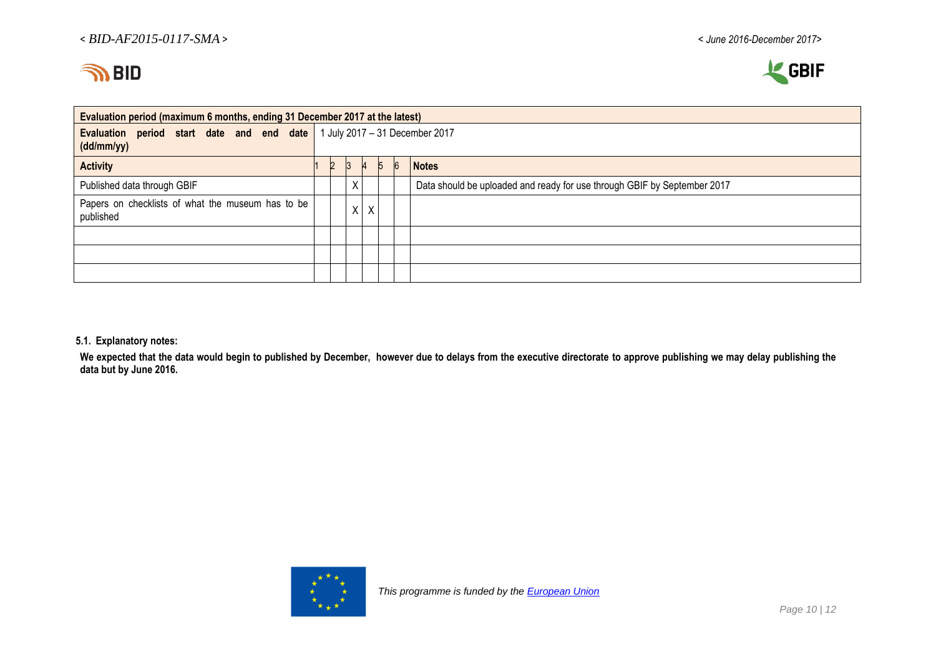



| Evaluation period (maximum 6 months, ending 31 December 2017 at the latest)            |  |              |   |   |   |    |                                                                          |  |  |  |  |
|----------------------------------------------------------------------------------------|--|--------------|---|---|---|----|--------------------------------------------------------------------------|--|--|--|--|
| Evaluation period start date and end date 1 July 2017 – 31 December 2017<br>(dd/mm/yy) |  |              |   |   |   |    |                                                                          |  |  |  |  |
| <b>Activity</b>                                                                        |  | <sup>3</sup> |   |   | 5 | -6 | <b>Notes</b>                                                             |  |  |  |  |
| Published data through GBIF                                                            |  |              | Χ |   |   |    | Data should be uploaded and ready for use through GBIF by September 2017 |  |  |  |  |
| Papers on checklists of what the museum has to be<br>published                         |  |              | Χ | Χ |   |    |                                                                          |  |  |  |  |
|                                                                                        |  |              |   |   |   |    |                                                                          |  |  |  |  |
|                                                                                        |  |              |   |   |   |    |                                                                          |  |  |  |  |
|                                                                                        |  |              |   |   |   |    |                                                                          |  |  |  |  |

#### **5.1. Explanatory notes:**

We expected that the data would begin to published by December, however due to delays from the executive directorate to approve publishing we may delay publishing the **data but by June 2016.** 

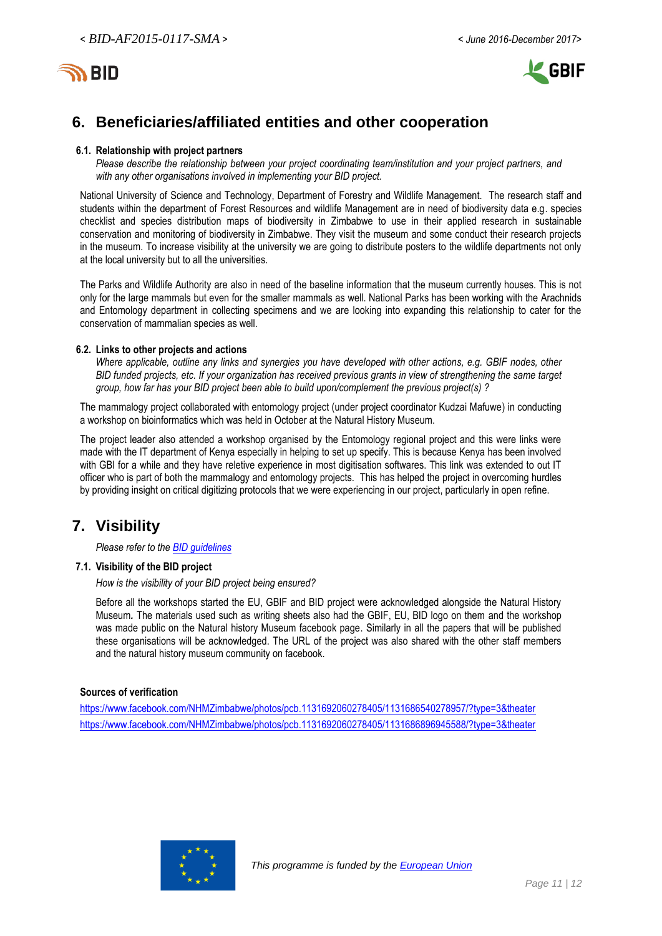



# **6. Beneficiaries/affiliated entities and other cooperation**

#### **6.1. Relationship with project partners**

*Please describe the relationship between your project coordinating team/institution and your project partners, and with any other organisations involved in implementing your BID project.*

National University of Science and Technology, Department of Forestry and Wildlife Management. The research staff and students within the department of Forest Resources and wildlife Management are in need of biodiversity data e.g. species checklist and species distribution maps of biodiversity in Zimbabwe to use in their applied research in sustainable conservation and monitoring of biodiversity in Zimbabwe. They visit the museum and some conduct their research projects in the museum. To increase visibility at the university we are going to distribute posters to the wildlife departments not only at the local university but to all the universities.

The Parks and Wildlife Authority are also in need of the baseline information that the museum currently houses. This is not only for the large mammals but even for the smaller mammals as well. National Parks has been working with the Arachnids and Entomology department in collecting specimens and we are looking into expanding this relationship to cater for the conservation of mammalian species as well.

#### **6.2. Links to other projects and actions**

*Where applicable, outline any links and synergies you have developed with other actions, e.g. GBIF nodes, other BID funded projects, etc. If your organization has received previous grants in view of strengthening the same target group, how far has your BID project been able to build upon/complement the previous project(s) ?*

The mammalogy project collaborated with entomology project (under project coordinator Kudzai Mafuwe) in conducting a workshop on bioinformatics which was held in October at the Natural History Museum.

The project leader also attended a workshop organised by the Entomology regional project and this were links were made with the IT department of Kenya especially in helping to set up specify. This is because Kenya has been involved with GBI for a while and they have reletive experience in most digitisation softwares. This link was extended to out IT officer who is part of both the mammalogy and entomology projects. This has helped the project in overcoming hurdles by providing insight on critical digitizing protocols that we were experiencing in our project, particularly in open refine.

# **7. Visibility**

*Please refer to th[e BID guidelines](http://bid.gbif.org/en/community/communication-guidelines/)*

### **7.1. Visibility of the BID project**

*How is the visibility of your BID project being ensured?*

Before all the workshops started the EU, GBIF and BID project were acknowledged alongside the Natural History Museum*.* The materials used such as writing sheets also had the GBIF, EU, BID logo on them and the workshop was made public on the Natural history Museum facebook page. Similarly in all the papers that will be published these organisations will be acknowledged. The URL of the project was also shared with the other staff members and the natural history museum community on facebook.

### **Sources of verification**

<https://www.facebook.com/NHMZimbabwe/photos/pcb.1131692060278405/1131686540278957/?type=3&theater> <https://www.facebook.com/NHMZimbabwe/photos/pcb.1131692060278405/1131686896945588/?type=3&theater>